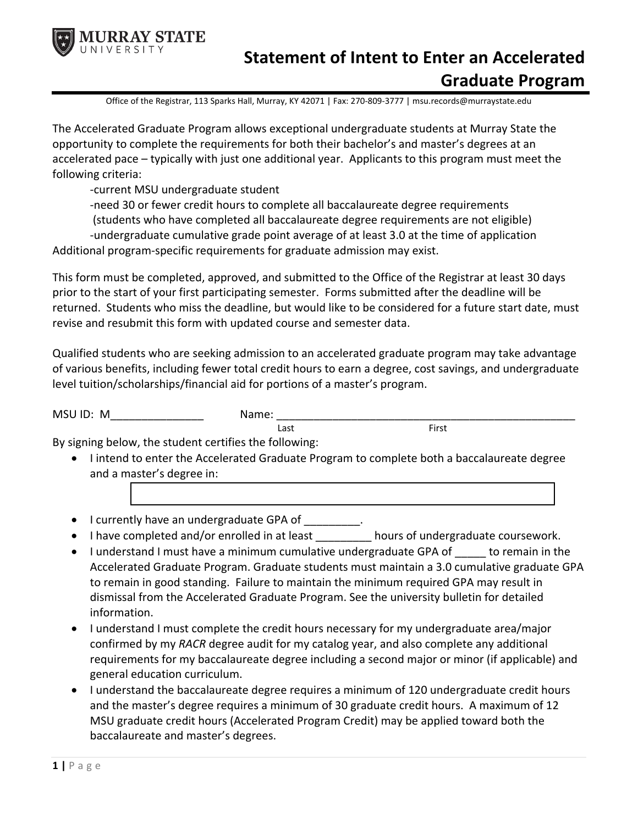

## **Statement of Intent to Enter an Accelerated Graduate Program**

Office of the Registrar, 113 Sparks Hall, Murray, KY 42071 | Fax: 270-809-3777 | msu.records@murraystate.edu

The Accelerated Graduate Program allows exceptional undergraduate students at Murray State the opportunity to complete the requirements for both their bachelor's and master's degrees at an accelerated pace – typically with just one additional year. Applicants to this program must meet the following criteria:

-current MSU undergraduate student

-need 30 or fewer credit hours to complete all baccalaureate degree requirements

(students who have completed all baccalaureate degree requirements are not eligible)

-undergraduate cumulative grade point average of at least 3.0 at the time of application Additional program-specific requirements for graduate admission may exist.

This form must be completed, approved, and submitted to the Office of the Registrar at least 30 days prior to the start of your first participating semester. Forms submitted after the deadline will be returned. Students who miss the deadline, but would like to be considered for a future start date, must revise and resubmit this form with updated course and semester data.

Qualified students who are seeking admission to an accelerated graduate program may take advantage of various benefits, including fewer total credit hours to earn a degree, cost savings, and undergraduate level tuition/scholarships/financial aid for portions of a master's program.

| <b>MSI</b><br>M | .mr |
|-----------------|-----|
|                 |     |

By signing below, the student certifies the following:

• I intend to enter the Accelerated Graduate Program to complete both a baccalaureate degree and a master's degree in:

Last **First** 

- I currently have an undergraduate GPA of \_\_\_\_\_\_\_\_\_.
- I have completed and/or enrolled in at least hours of undergraduate coursework.
- I understand I must have a minimum cumulative undergraduate GPA of to remain in the Accelerated Graduate Program. Graduate students must maintain a 3.0 cumulative graduate GPA to remain in good standing. Failure to maintain the minimum required GPA may result in dismissal from the Accelerated Graduate Program. See the university bulletin for detailed information.
- I understand I must complete the credit hours necessary for my undergraduate area/major confirmed by my *RACR* degree audit for my catalog year, and also complete any additional requirements for my baccalaureate degree including a second major or minor (if applicable) and general education curriculum.
- I understand the baccalaureate degree requires a minimum of 120 undergraduate credit hours and the master's degree requires a minimum of 30 graduate credit hours. A maximum of 12 MSU graduate credit hours (Accelerated Program Credit) may be applied toward both the baccalaureate and master's degrees.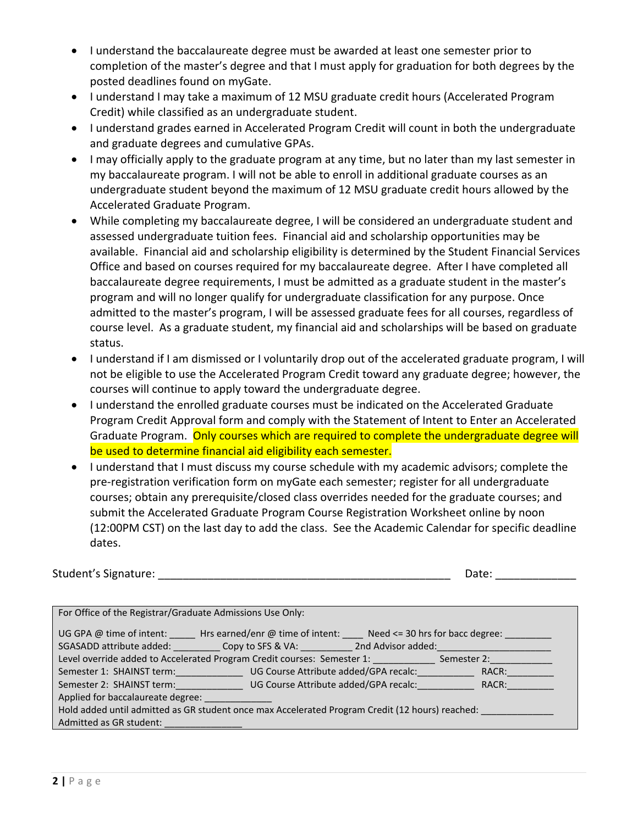- I understand the baccalaureate degree must be awarded at least one semester prior to completion of the master's degree and that I must apply for graduation for both degrees by the posted deadlines found on myGate.
- I understand I may take a maximum of 12 MSU graduate credit hours (Accelerated Program Credit) while classified as an undergraduate student.
- I understand grades earned in Accelerated Program Credit will count in both the undergraduate and graduate degrees and cumulative GPAs.
- I may officially apply to the graduate program at any time, but no later than my last semester in my baccalaureate program. I will not be able to enroll in additional graduate courses as an undergraduate student beyond the maximum of 12 MSU graduate credit hours allowed by the Accelerated Graduate Program.
- While completing my baccalaureate degree, I will be considered an undergraduate student and assessed undergraduate tuition fees. Financial aid and scholarship opportunities may be available. Financial aid and scholarship eligibility is determined by the Student Financial Services Office and based on courses required for my baccalaureate degree. After I have completed all baccalaureate degree requirements, I must be admitted as a graduate student in the master's program and will no longer qualify for undergraduate classification for any purpose. Once admitted to the master's program, I will be assessed graduate fees for all courses, regardless of course level. As a graduate student, my financial aid and scholarships will be based on graduate status.
- I understand if I am dismissed or I voluntarily drop out of the accelerated graduate program, I will not be eligible to use the Accelerated Program Credit toward any graduate degree; however, the courses will continue to apply toward the undergraduate degree.
- I understand the enrolled graduate courses must be indicated on the Accelerated Graduate Program Credit Approval form and comply with the Statement of Intent to Enter an Accelerated Graduate Program. Only courses which are required to complete the undergraduate degree will be used to determine financial aid eligibility each semester.
- I understand that I must discuss my course schedule with my academic advisors; complete the pre-registration verification form on myGate each semester; register for all undergraduate courses; obtain any prerequisite/closed class overrides needed for the graduate courses; and submit the Accelerated Graduate Program Course Registration Worksheet online by noon (12:00PM CST) on the last day to add the class. See the Academic Calendar for specific deadline dates.

| Student's Signature: | Date: |
|----------------------|-------|
|----------------------|-------|

| For Office of the Registrar/Graduate Admissions Use Only:                                           |                                                                    |  |       |
|-----------------------------------------------------------------------------------------------------|--------------------------------------------------------------------|--|-------|
| UG GPA @ time of intent:<br>SGASADD attribute added: Copy to SFS & VA: 2nd Advisor added:           | Hrs earned/enr $@$ time of intent: Need <= 30 hrs for bacc degree: |  |       |
| Level override added to Accelerated Program Credit courses: Semester 1: ______________ Semester 2:_ |                                                                    |  |       |
| Semester 1: SHAINST term: UG Course Attribute added/GPA recalc:                                     |                                                                    |  | RACR: |
| Semester 2: SHAINST term: UG Course Attribute added/GPA recalc:                                     |                                                                    |  | RACR: |
| Applied for baccalaureate degree:                                                                   |                                                                    |  |       |
| Hold added until admitted as GR student once max Accelerated Program Credit (12 hours) reached:     |                                                                    |  |       |
| Admitted as GR student:                                                                             |                                                                    |  |       |